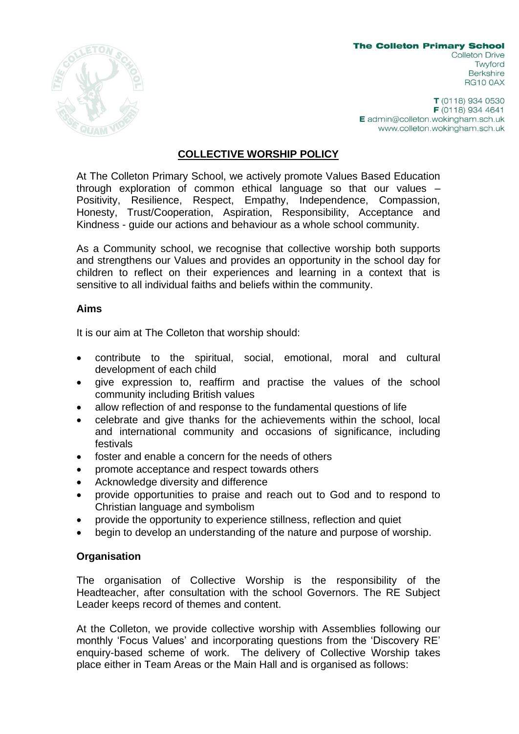

**The Colleton Primary School Colleton Drive** Twyford **Berkshire RG10 0AX** 

 $T(0118)$  934 0530 F (0118) 934 4641 E admin@colleton.wokingham.sch.uk www.colleton.wokingham.sch.uk

## **COLLECTIVE WORSHIP POLICY**

At The Colleton Primary School, we actively promote Values Based Education through exploration of common ethical language so that our values – Positivity, Resilience, Respect, Empathy, Independence, Compassion, Honesty, Trust/Cooperation, Aspiration, Responsibility, Acceptance and Kindness - guide our actions and behaviour as a whole school community.

As a Community school, we recognise that collective worship both supports and strengthens our Values and provides an opportunity in the school day for children to reflect on their experiences and learning in a context that is sensitive to all individual faiths and beliefs within the community.

## **Aims**

It is our aim at The Colleton that worship should:

- contribute to the spiritual, social, emotional, moral and cultural development of each child
- give expression to, reaffirm and practise the values of the school community including British values
- allow reflection of and response to the fundamental questions of life
- celebrate and give thanks for the achievements within the school, local and international community and occasions of significance, including festivals
- foster and enable a concern for the needs of others
- promote acceptance and respect towards others
- Acknowledge diversity and difference
- provide opportunities to praise and reach out to God and to respond to Christian language and symbolism
- provide the opportunity to experience stillness, reflection and quiet
- begin to develop an understanding of the nature and purpose of worship.

## **Organisation**

The organisation of Collective Worship is the responsibility of the Headteacher, after consultation with the school Governors. The RE Subject Leader keeps record of themes and content.

At the Colleton, we provide collective worship with Assemblies following our monthly 'Focus Values' and incorporating questions from the 'Discovery RE' enquiry-based scheme of work. The delivery of Collective Worship takes place either in Team Areas or the Main Hall and is organised as follows: